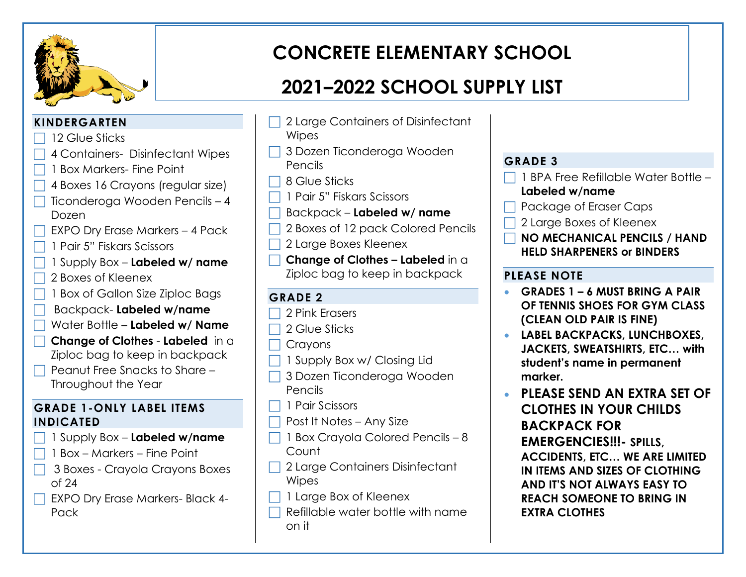

# **CONCRETE ELEMENTARY SCHOOL**

## **2021–2022 SCHOOL SUPPLY LIST**

### **KINDERGARTEN**

- 12 Glue Sticks
- 4 Containers- Disinfectant Wipes
- 1 Box Markers- Fine Point
- 4 Boxes 16 Crayons (regular size)
- Ticonderoga Wooden Pencils 4 Dozen
- EXPO Dry Erase Markers 4 Pack
- 1 Pair 5" Fiskars Scissors
- 1 Supply Box **Labeled w/ name**
- 2 Boxes of Kleenex
- 1 Box of Gallon Size Ziploc Bags
- Backpack- **Labeled w/name**
- Water Bottle **Labeled w/ Name**
- **Change of Clothes Labeled** in a Ziploc bag to keep in backpack
- Peanut Free Snacks to Share Throughout the Year

#### **GRADE 1-ONLY LABEL ITEMS INDICATED**

- 1 Supply Box **Labeled w/name**
- 1 Box Markers Fine Point
- 3 Boxes Crayola Crayons Boxes of 24
- EXPO Dry Erase Markers- Black 4- Pack
- 2 Large Containers of Disinfectant **Wipes**
- 3 Dozen Ticonderoga Wooden Pencils
- 8 Glue Sticks
- 1 Pair 5" Fiskars Scissors
- Backpack **Labeled w/ name**
- 2 Boxes of 12 pack Colored Pencils
- 2 Large Boxes Kleenex
- **Change of Clothes – Labeled** in a Ziploc bag to keep in backpack

### **GRADE 2**

- 2 Pink Erasers
- 2 Glue Sticks
- Crayons
- 1 Supply Box w/ Closing Lid
- 3 Dozen Ticonderoga Wooden Pencils
- $\Box$  1 Pair Scissors
- $\Box$  Post It Notes Any Size
- $\Box$  1 Box Crayola Colored Pencils 8 Count
- □ 2 Large Containers Disinfectant Wipes
- □ 1 Large Box of Kleenex
- Refillable water bottle with name on it

### **GRADE 3**

- 1 BPA Free Refillable Water Bottle –
- **Labeled w/name**
- Package of Eraser Caps
- 2 Large Boxes of Kleenex
- **NO MECHANICAL PENCILS / HAND HELD SHARPENERS or BINDERS**

### **PLEASE NOTE**

- **GRADES 1 6 MUST BRING A PAIR OF TENNIS SHOES FOR GYM CLASS (CLEAN OLD PAIR IS FINE)**
- **LABEL BACKPACKS, LUNCHBOXES, JACKETS, SWEATSHIRTS, ETC… with student's name in permanent marker.**
- **PLEASE SEND AN EXTRA SET OF CLOTHES IN YOUR CHILDS BACKPACK FOR EMERGENCIES!!!- SPILLS, ACCIDENTS, ETC… WE ARE LIMITED IN ITEMS AND SIZES OF CLOTHING AND IT'S NOT ALWAYS EASY TO REACH SOMEONE TO BRING IN EXTRA CLOTHES**